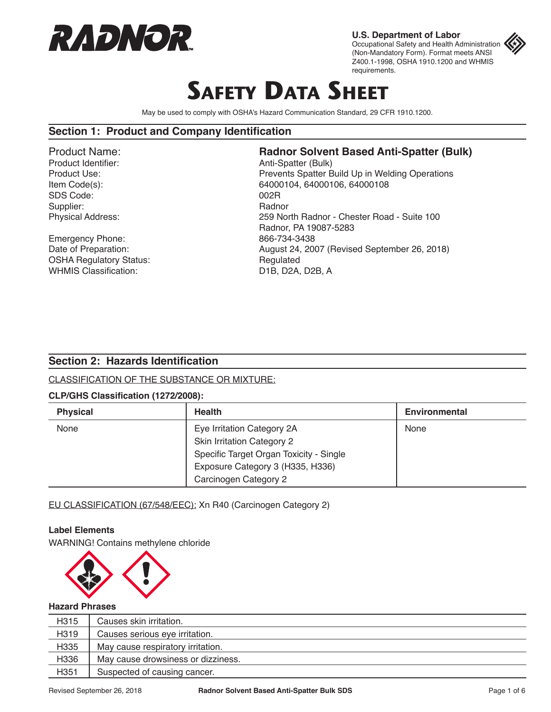

**U.S. Department of Labor** Occupational Safety and Health Administration (Non-Mandatory Form). Format meets ANSI Z400.1-1998, OSHA 1910.1200 and WHMIS requirements.

# **SAFETY DATA SHEET**

May be used to comply with OSHA's Hazard Communication Standard, 29 CFR 1910.1200.

#### **Section 1: Product and Company Identification**

SDS Code: 002R Supplier: Radnor<br>
Physical Address: Entry the Supplier of the Radnor<br>
259 No

Emergency Phone: 866-734-3438 OSHA Regulatory Status: Regulated WHMIS Classification: D1B, D2A, D2B, A

## Product Name:<br>
Product Identifier:<br> **Radnor Solvent Based Anti-Spatter (Bulk)**<br>
Anti-Spatter (Bulk)

Anti-Spatter (Bulk) Product Use: Product Use: Prevents Spatter Build Up in Welding Operations Item Code(s): 64000104, 64000106, 64000108 259 North Radnor - Chester Road - Suite 100 Radnor, PA 19087-5283 Date of Preparation: **August 24, 2007** (Revised September 26, 2018)

#### **Section 2: Hazards Identification**

CLASSIFICATION OF THE SUBSTANCE OR MIXTURE:

#### **CLP/GHS Classification (1272/2008):**

| <b>Physical</b> | <b>Health</b>                           | <b>Environmental</b> |
|-----------------|-----------------------------------------|----------------------|
| None            | Eye Irritation Category 2A              | None                 |
|                 | Skin Irritation Category 2              |                      |
|                 | Specific Target Organ Toxicity - Single |                      |
|                 | Exposure Category 3 (H335, H336)        |                      |
|                 | Carcinogen Category 2                   |                      |

EU CLASSIFICATION (67/548/EEC): Xn R40 (Carcinogen Category 2)

#### **Label Elements**

WARNING! Contains methylene chloride



#### **Hazard Phrases**

| H315 | Causes skin irritation.            |
|------|------------------------------------|
| H319 | Causes serious eye irritation.     |
| H335 | May cause respiratory irritation.  |
| H336 | May cause drowsiness or dizziness. |
| H351 | Suspected of causing cancer.       |
|      |                                    |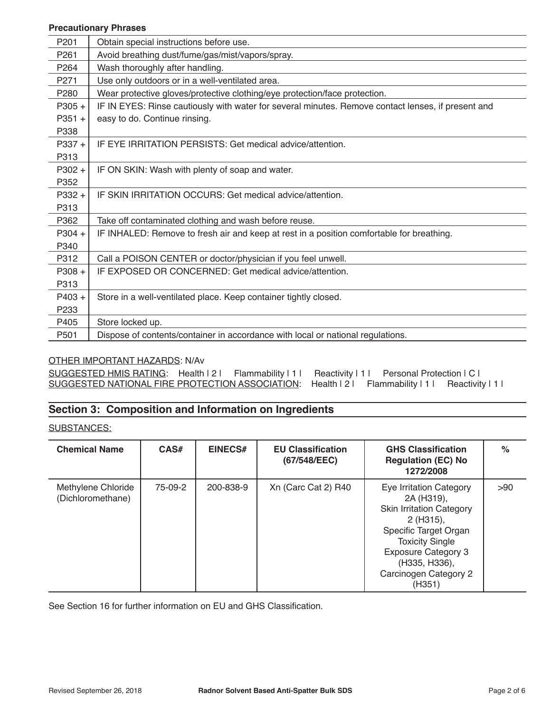#### **Precautionary Phrases**

| P201             | Obtain special instructions before use.                                                            |
|------------------|----------------------------------------------------------------------------------------------------|
| P <sub>261</sub> | Avoid breathing dust/fume/gas/mist/vapors/spray.                                                   |
| P <sub>264</sub> | Wash thoroughly after handling.                                                                    |
| P271             | Use only outdoors or in a well-ventilated area.                                                    |
| P280             | Wear protective gloves/protective clothing/eye protection/face protection.                         |
| $P305 +$         | IF IN EYES: Rinse cautiously with water for several minutes. Remove contact lenses, if present and |
| $P351 +$         | easy to do. Continue rinsing.                                                                      |
| P338             |                                                                                                    |
| $P337 +$         | IF EYE IRRITATION PERSISTS: Get medical advice/attention.                                          |
| P313             |                                                                                                    |
| $P302 +$         | IF ON SKIN: Wash with plenty of soap and water.                                                    |
| P352             |                                                                                                    |
| $P332 +$         | IF SKIN IRRITATION OCCURS: Get medical advice/attention.                                           |
| P313             |                                                                                                    |
| P362             | Take off contaminated clothing and wash before reuse.                                              |
| $P304 +$         | IF INHALED: Remove to fresh air and keep at rest in a position comfortable for breathing.          |
| P340             |                                                                                                    |
| P312             | Call a POISON CENTER or doctor/physician if you feel unwell.                                       |
| $P308 +$         | IF EXPOSED OR CONCERNED: Get medical advice/attention.                                             |
| P313             |                                                                                                    |
| $P403 +$         | Store in a well-ventilated place. Keep container tightly closed.                                   |
| P <sub>233</sub> |                                                                                                    |
| P405             | Store locked up.                                                                                   |
| P501             | Dispose of contents/container in accordance with local or national regulations.                    |

#### OTHER IMPORTANT HAZARDS: N/Av

| SUGGESTED HMIS RATING: Health 121 Flammability 111 Reactivity 111 Personal Protection 1C1      |  |  |  |
|------------------------------------------------------------------------------------------------|--|--|--|
| SUGGESTED NATIONAL FIRE PROTECTION ASSOCIATION: Health   2   Flammability   1   Reactivity   1 |  |  |  |

## **Section 3: Composition and Information on Ingredients**

SUBSTANCES:

| <b>Chemical Name</b>                    | CAS#    | <b>EINECS#</b> | <b>EU Classification</b><br>(67/548/EEC) | <b>GHS Classification</b><br><b>Regulation (EC) No</b><br>1272/2008                                                                                                                                                        | $\%$ |
|-----------------------------------------|---------|----------------|------------------------------------------|----------------------------------------------------------------------------------------------------------------------------------------------------------------------------------------------------------------------------|------|
| Methylene Chloride<br>(Dichloromethane) | 75-09-2 | 200-838-9      | Xn (Carc Cat 2) R40                      | Eye Irritation Category<br>2A (H319),<br><b>Skin Irritation Category</b><br>2 (H315),<br>Specific Target Organ<br><b>Toxicity Single</b><br><b>Exposure Category 3</b><br>(H335, H336),<br>Carcinogen Category 2<br>(H351) | >90  |

See Section 16 for further information on EU and GHS Classification.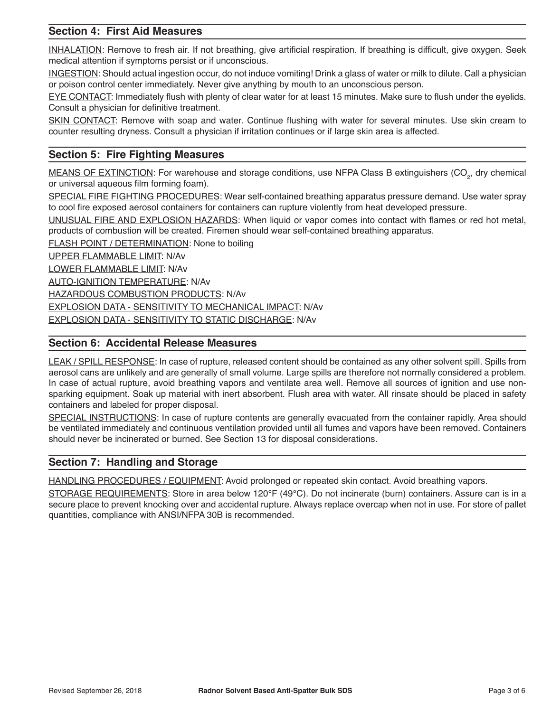## **Section 4: First Aid Measures**

INHALATION: Remove to fresh air. If not breathing, give artificial respiration. If breathing is difficult, give oxygen. Seek medical attention if symptoms persist or if unconscious.

INGESTION: Should actual ingestion occur, do not induce vomiting! Drink a glass of water or milk to dilute. Call a physician or poison control center immediately. Never give anything by mouth to an unconscious person.

EYE CONTACT: Immediately flush with plenty of clear water for at least 15 minutes. Make sure to flush under the eyelids. Consult a physician for definitive treatment.

SKIN CONTACT: Remove with soap and water. Continue flushing with water for several minutes. Use skin cream to counter resulting dryness. Consult a physician if irritation continues or if large skin area is affected.

## **Section 5: Fire Fighting Measures**

MEANS OF EXTINCTION: For warehouse and storage conditions, use NFPA Class B extinguishers (CO<sub>2</sub>, dry chemical or universal aqueous film forming foam).

SPECIAL FIRE FIGHTING PROCEDURES: Wear self-contained breathing apparatus pressure demand. Use water spray to cool fire exposed aerosol containers for containers can rupture violently from heat developed pressure.

UNUSUAL FIRE AND EXPLOSION HAZARDS: When liquid or vapor comes into contact with flames or red hot metal, products of combustion will be created. Firemen should wear self-contained breathing apparatus.

FLASH POINT / DETERMINATION: None to boiling

UPPER FLAMMABLE LIMIT: N/Av

LOWER FLAMMABLE LIMIT: N/Av

AUTO-IGNITION TEMPERATURE: N/Av

HAZARDOUS COMBUSTION PRODUCTS: N/Av

EXPLOSION DATA - SENSITIVITY TO MECHANICAL IMPACT: N/Av

EXPLOSION DATA - SENSITIVITY TO STATIC DISCHARGE: N/Av

## **Section 6: Accidental Release Measures**

LEAK / SPILL RESPONSE: In case of rupture, released content should be contained as any other solvent spill. Spills from aerosol cans are unlikely and are generally of small volume. Large spills are therefore not normally considered a problem. In case of actual rupture, avoid breathing vapors and ventilate area well. Remove all sources of ignition and use nonsparking equipment. Soak up material with inert absorbent. Flush area with water. All rinsate should be placed in safety containers and labeled for proper disposal.

SPECIAL INSTRUCTIONS: In case of rupture contents are generally evacuated from the container rapidly. Area should be ventilated immediately and continuous ventilation provided until all fumes and vapors have been removed. Containers should never be incinerated or burned. See Section 13 for disposal considerations.

## **Section 7: Handling and Storage**

HANDLING PROCEDURES / EQUIPMENT: Avoid prolonged or repeated skin contact. Avoid breathing vapors.

STORAGE REQUIREMENTS: Store in area below 120°F (49°C). Do not incinerate (burn) containers. Assure can is in a secure place to prevent knocking over and accidental rupture. Always replace overcap when not in use. For store of pallet quantities, compliance with ANSI/NFPA 30B is recommended.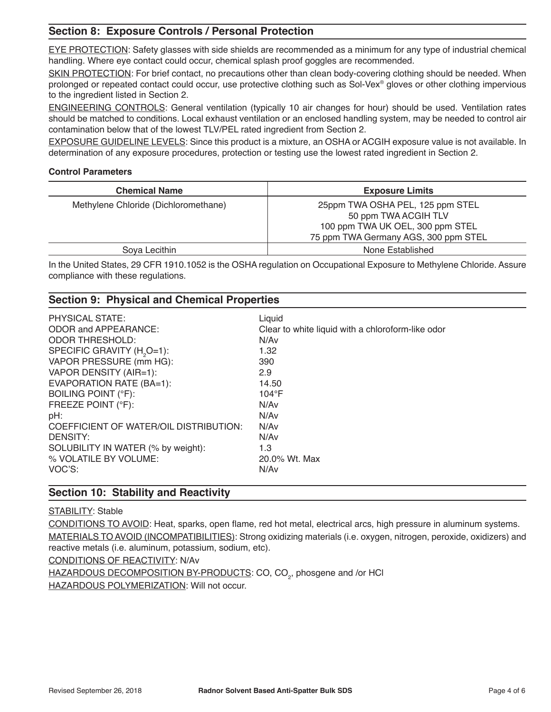## **Section 8: Exposure Controls / Personal Protection**

EYE PROTECTION: Safety glasses with side shields are recommended as a minimum for any type of industrial chemical handling. Where eye contact could occur, chemical splash proof goggles are recommended.

SKIN PROTECTION: For brief contact, no precautions other than clean body-covering clothing should be needed. When prolonged or repeated contact could occur, use protective clothing such as Sol-Vex® gloves or other clothing impervious to the ingredient listed in Section 2.

ENGINEERING CONTROLS: General ventilation (typically 10 air changes for hour) should be used. Ventilation rates should be matched to conditions. Local exhaust ventilation or an enclosed handling system, may be needed to control air contamination below that of the lowest TLV/PEL rated ingredient from Section 2.

EXPOSURE GUIDELINE LEVELS: Since this product is a mixture, an OSHA or ACGIH exposure value is not available. In determination of any exposure procedures, protection or testing use the lowest rated ingredient in Section 2.

#### **Control Parameters**

| <b>Chemical Name</b>                 | <b>Exposure Limits</b>                                                                                                               |
|--------------------------------------|--------------------------------------------------------------------------------------------------------------------------------------|
| Methylene Chloride (Dichloromethane) | 25ppm TWA OSHA PEL, 125 ppm STEL<br>50 ppm TWA ACGIH TLV<br>100 ppm TWA UK OEL, 300 ppm STEL<br>75 ppm TWA Germany AGS, 300 ppm STEL |
| Soya Lecithin                        | None Established                                                                                                                     |

In the United States, 29 CFR 1910.1052 is the OSHA regulation on Occupational Exposure to Methylene Chloride. Assure compliance with these regulations.

## **Section 9: Physical and Chemical Properties**

| <b>PHYSICAL STATE:</b><br><b>ODOR and APPEARANCE:</b><br><b>ODOR THRESHOLD:</b><br>SPECIFIC GRAVITY (H <sub>2</sub> O=1):<br>VAPOR PRESSURE (mm HG):<br>VAPOR DENSITY (AIR=1):<br>EVAPORATION RATE (BA=1):<br>BOILING POINT (°F):<br>FREEZE POINT (°F):<br>pH:<br>COEFFICIENT OF WATER/OIL DISTRIBUTION:<br>DENSITY:<br>SOLUBILITY IN WATER (% by weight):<br>% VOLATILE BY VOLUME: | Liquid<br>Clear to white liquid with a chloroform-like odor<br>N/Av<br>1.32<br>390<br>2.9<br>14.50<br>$104^{\circ}F$<br>N/Av<br>N/Av<br>N/Av<br>N/Av<br>1.3<br>20.0% Wt. Max |
|-------------------------------------------------------------------------------------------------------------------------------------------------------------------------------------------------------------------------------------------------------------------------------------------------------------------------------------------------------------------------------------|------------------------------------------------------------------------------------------------------------------------------------------------------------------------------|
| VOC'S:                                                                                                                                                                                                                                                                                                                                                                              | N/Av                                                                                                                                                                         |
|                                                                                                                                                                                                                                                                                                                                                                                     |                                                                                                                                                                              |

## **Section 10: Stability and Reactivity**

**STABILITY: Stable** 

CONDITIONS TO AVOID: Heat, sparks, open flame, red hot metal, electrical arcs, high pressure in aluminum systems. MATERIALS TO AVOID (INCOMPATIBILITIES): Strong oxidizing materials (i.e. oxygen, nitrogen, peroxide, oxidizers) and reactive metals (i.e. aluminum, potassium, sodium, etc).

CONDITIONS OF REACTIVITY: N/Av

<u>HAZARDOUS DECOMPOSITION BY-PRODUCTS</u>: CO, CO<sub>2</sub>, phosgene and /or HCl HAZARDOUS POLYMERIZATION: Will not occur.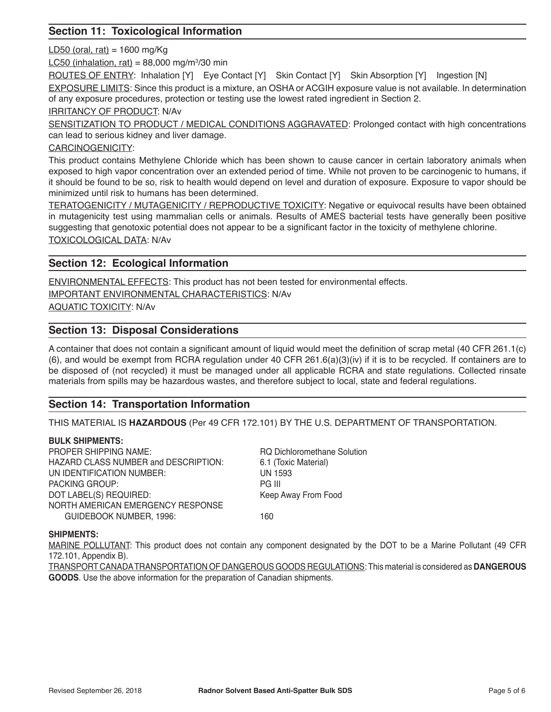## **Section 11: Toxicological Information**

 $LD50$  (oral, rat) = 1600 mg/Kg

LC50 (inhalation, rat) = 88,000 mg/m3 /30 min

ROUTES OF ENTRY: Inhalation [Y] Eve Contact [Y] Skin Contact [Y] Skin Absorption [Y] Ingestion [N]

EXPOSURE LIMITS: Since this product is a mixture, an OSHA or ACGIH exposure value is not available. In determination of any exposure procedures, protection or testing use the lowest rated ingredient in Section 2.

IRRITANCY OF PRODUCT: N/Av

SENSITIZATION TO PRODUCT / MEDICAL CONDITIONS AGGRAVATED: Prolonged contact with high concentrations can lead to serious kidney and liver damage.

#### CARCINOGENICITY:

This product contains Methylene Chloride which has been shown to cause cancer in certain laboratory animals when exposed to high vapor concentration over an extended period of time. While not proven to be carcinogenic to humans, if it should be found to be so, risk to health would depend on level and duration of exposure. Exposure to vapor should be minimized until risk to humans has been determined.

TERATOGENICITY / MUTAGENICITY / REPRODUCTIVE TOXICITY: Negative or equivocal results have been obtained in mutagenicity test using mammalian cells or animals. Results of AMES bacterial tests have generally been positive suggesting that genotoxic potential does not appear to be a significant factor in the toxicity of methylene chlorine. TOXICOLOGICAL DATA: N/Av

## **Section 12: Ecological Information**

ENVIRONMENTAL EFFECTS: This product has not been tested for environmental effects.

IMPORTANT ENVIRONMENTAL CHARACTERISTICS: N/Av

AQUATIC TOXICITY: N/Av

#### **Section 13: Disposal Considerations**

A container that does not contain a significant amount of liquid would meet the definition of scrap metal (40 CFR 261.1(c)  $(6)$ , and would be exempt from RCRA regulation under 40 CFR 261.6(a)(3)(iv) if it is to be recycled. If containers are to be disposed of (not recycled) it must be managed under all applicable RCRA and state regulations. Collected rinsate materials from spills may be hazardous wastes, and therefore subject to local, state and federal regulations.

## **Section 14: Transportation Information**

THIS MATERIAL IS **HAZARDOUS** (Per 49 CFR 172.101) BY THE U.S. DEPARTMENT OF TRANSPORTATION.

#### **BULK SHIPMENTS:**

PROPER SHIPPING NAME: RQ Dichloromethane Solution HAZARD CLASS NUMBER and DESCRIPTION: 6.1 (Toxic Material) UN IDENTIFICATION NUMBER: UN 1593 PACKING GROUP: PACKING ARE PG III DOT LABEL(S) REQUIRED: Keep Away From Food NORTH AMERICAN EMERGENCY RESPONSE GUIDEBOOK NUMBER, 1996: 160

#### **SHIPMENTS:**

MARINE POLLUTANT: This product does not contain any component designated by the DOT to be a Marine Pollutant (49 CFR 172.101, Appendix B).

TRANSPORT CANADA TRANSPORTATION OF DANGEROUS GOODS REGULATIONS: This material is considered as **DANGEROUS GOODS**. Use the above information for the preparation of Canadian shipments.